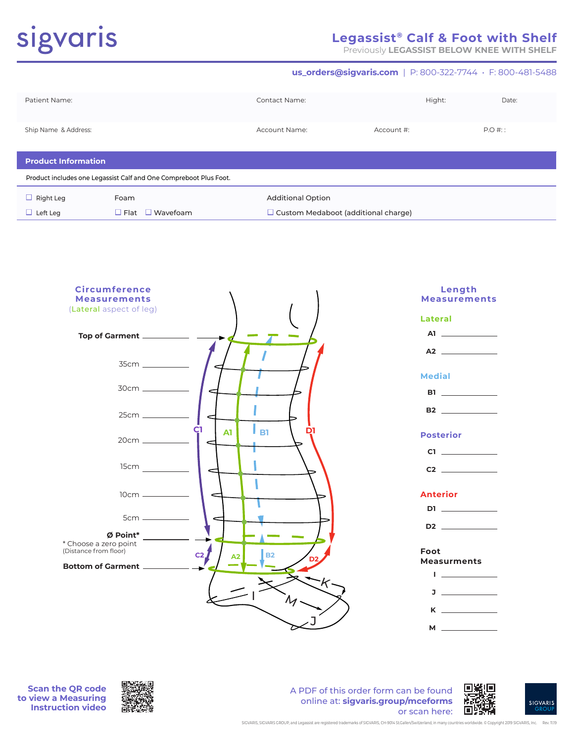# sigvaris

# **Legassist® Calf & Foot with Shelf**

Previously **LEGASSIST BELOW KNEE WITH SHELF**

**us\_orders@sigvaris.com** | P: 800-322-7744 • F: 800-481-5488

| Patient Name:                                                     |                             | Contact Name:                              |            | Hight: | Date:    |
|-------------------------------------------------------------------|-----------------------------|--------------------------------------------|------------|--------|----------|
| Ship Name & Address:                                              |                             | Account Name:                              | Account #: |        | $P.O#$ : |
| <b>Product Information</b>                                        |                             |                                            |            |        |          |
| Product includes one Legassist Calf and One Compreboot Plus Foot. |                             |                                            |            |        |          |
| $\Box$ Right Leg                                                  | Foam                        | <b>Additional Option</b>                   |            |        |          |
| $\Box$ Left Leg                                                   | $\Box$ Flat $\Box$ Wavefoam | $\Box$ Custom Medaboot (additional charge) |            |        |          |



**Scan the QR code to view a Measuring Instruction video**



A PDF of this order form can be found online at: **sigvaris.group/mceforms** or scan here:



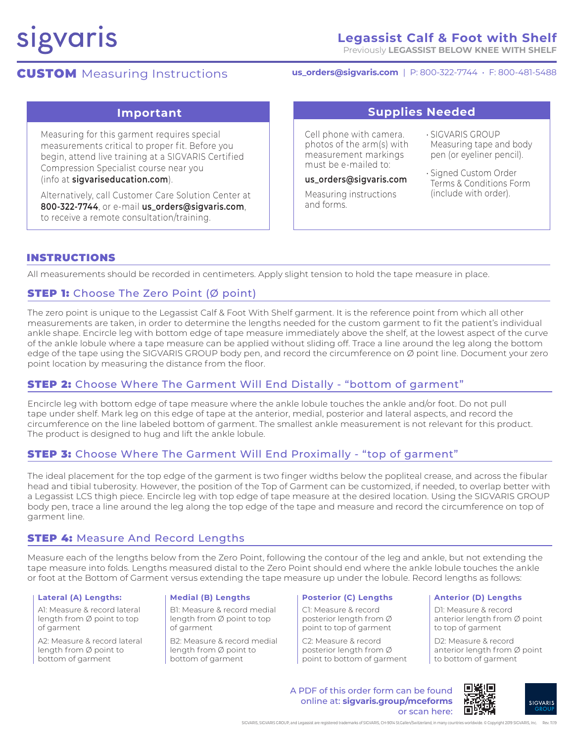# sigvaris

# **Legassist Calf & Foot with Shelf**

Previously **LEGASSIST BELOW KNEE WITH SHELF**

# **CUSTOM** Measuring Instructions

**us\_orders@sigvaris.com** | P: 800-322-7744 • F: 800-481-5488

Measuring for this garment requires special measurements critical to proper fit. Before you begin, attend live training at a SIGVARIS Certified Compression Specialist course near you (info at **sigvariseducation.com**).

Alternatively, call Customer Care Solution Center at **800-322-7744**, or e-mail **us\_orders@sigvaris.com**, to receive a remote consultation/training.

# **Important Supplies Needed**

Cell phone with camera. photos of the arm(s) with measurement markings must be e-mailed to:

**us\_orders@sigvaris.com**

Measuring instructions and forms.

- SIGVARIS GROUP Measuring tape and body pen (or eyeliner pencil).
- Signed Custom Order Terms & Conditions Form (include with order).

# INSTRUCTIONS

All measurements should be recorded in centimeters. Apply slight tension to hold the tape measure in place.

# **STEP 1:** Choose The Zero Point (Ø point)

The zero point is unique to the Legassist Calf & Foot With Shelf garment. It is the reference point from which all other measurements are taken, in order to determine the lengths needed for the custom garment to fit the patient's individual ankle shape. Encircle leg with bottom edge of tape measure immediately above the shelf, at the lowest aspect of the curve of the ankle lobule where a tape measure can be applied without sliding off. Trace a line around the leg along the bottom edge of the tape using the SIGVARIS GROUP body pen, and record the circumference on Ø point line. Document your zero point location by measuring the distance from the floor.

# **STEP 2:** Choose Where The Garment Will End Distally - "bottom of garment"

Encircle leg with bottom edge of tape measure where the ankle lobule touches the ankle and/or foot. Do not pull tape under shelf. Mark leg on this edge of tape at the anterior, medial, posterior and lateral aspects, and record the circumference on the line labeled bottom of garment. The smallest ankle measurement is not relevant for this product. The product is designed to hug and lift the ankle lobule.

# **STEP 3:** Choose Where The Garment Will End Proximally - "top of garment"

The ideal placement for the top edge of the garment is two finger widths below the popliteal crease, and across the fibular head and tibial tuberosity. However, the position of the Top of Garment can be customized, if needed, to overlap better with a Legassist LCS thigh piece. Encircle leg with top edge of tape measure at the desired location. Using the SIGVARIS GROUP body pen, trace a line around the leg along the top edge of the tape and measure and record the circumference on top of garment line.

# **STEP 4: Measure And Record Lengths**

Measure each of the lengths below from the Zero Point, following the contour of the leg and ankle, but not extending the tape measure into folds. Lengths measured distal to the Zero Point should end where the ankle lobule touches the ankle or foot at the Bottom of Garment versus extending the tape measure up under the lobule. Record lengths as follows:

A1: Measure & record lateral length from Ø point to top of garment

A2: Measure & record lateral length from Ø point to bottom of garment

B1: Measure & record medial length from Ø point to top of garment

B2: Measure & record medial length from Ø point to bottom of garment

C1: Measure & record posterior length from Ø point to top of garment

C2: Measure & record posterior length from Ø point to bottom of garment

### Lateral (A) Lengths: **Anten and Solution Prosection (A) Lengths Posterior (C) Lengths Anterior (D) Lengths**

D1: Measure & record anterior length from Ø point to top of garment

D2: Measure & record anterior length from Ø point to bottom of garment

ГI. A PDF of this order form can be found online at: **sigvaris.group/mceforms** تنا التا or scan here: